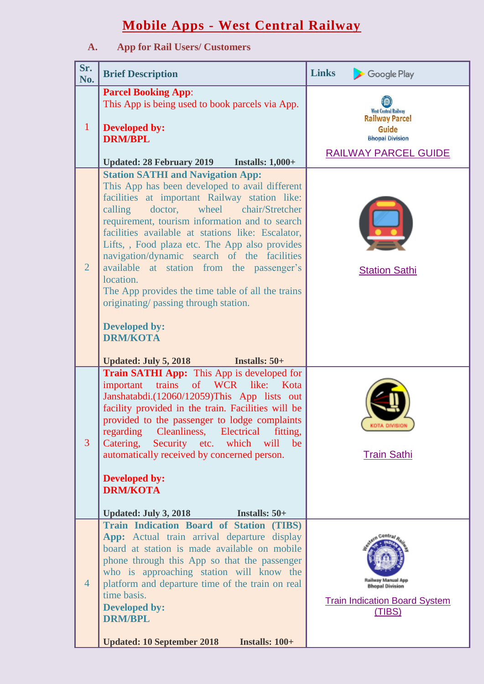## **Mobile Apps - West Central Railway**

## **A. App for Rail Users/ Customers**

| Sr.<br>No.     | <b>Brief Description</b>                                                                                                                                                                                                                                                                                                                                                                                                                                                                                                                                                                                                                                                      | <b>Links</b><br>Google Play                                                                                            |
|----------------|-------------------------------------------------------------------------------------------------------------------------------------------------------------------------------------------------------------------------------------------------------------------------------------------------------------------------------------------------------------------------------------------------------------------------------------------------------------------------------------------------------------------------------------------------------------------------------------------------------------------------------------------------------------------------------|------------------------------------------------------------------------------------------------------------------------|
| $\mathbf{1}$   | <b>Parcel Booking App:</b><br>This App is being used to book parcels via App.<br><b>Developed by:</b><br><b>DRM/BPL</b><br><b>Updated: 28 February 2019</b><br><b>Installs: 1,000+</b>                                                                                                                                                                                                                                                                                                                                                                                                                                                                                        | <b>West Central Railway</b><br><b>Railway Parcel</b><br>Guide<br><b>Bhopal Division</b><br><b>RAILWAY PARCEL GUIDE</b> |
| $\overline{2}$ | <b>Station SATHI and Navigation App:</b><br>This App has been developed to avail different<br>facilities at important Railway station like:<br>calling<br>doctor,<br>wheel<br>chair/Stretcher<br>requirement, tourism information and to search<br>facilities available at stations like: Escalator,<br>Lifts, , Food plaza etc. The App also provides<br>navigation/dynamic search of the facilities<br>available at station from the passenger's<br>location.<br>The App provides the time table of all the trains<br>originating/ passing through station.<br><b>Developed by:</b><br><b>DRM/KOTA</b><br><b>Updated: July 5, 2018</b><br><b>Installs: <math>50+</math></b> | <b>Station Sathi</b>                                                                                                   |
| 3              | <b>Train SATHI App:</b> This App is developed for<br>important<br>of WCR like: Kota<br>trains<br>Janshatabdi.(12060/12059)This App lists out<br>facility provided in the train. Facilities will be<br>provided to the passenger to lodge complaints<br>regarding<br>Cleanliness, Electrical<br>fitting,<br>Catering,<br>Security etc.<br>which will<br>be<br>automatically received by concerned person.<br><b>Developed by:</b><br><b>DRM/KOTA</b><br><b>Updated: July 3, 2018</b><br>Installs: $50+$                                                                                                                                                                        | KOTA DIVISION<br><b>Train Sathi</b>                                                                                    |
| $\overline{4}$ | <b>Train Indication Board of Station (TIBS)</b><br>App: Actual train arrival departure display<br>board at station is made available on mobile<br>phone through this App so that the passenger<br>who is approaching station will know the<br>platform and departure time of the train on real<br>time basis.<br><b>Developed by:</b><br><b>DRM/BPL</b><br><b>Updated: 10 September 2018</b><br>Installs: 100+                                                                                                                                                                                                                                                                | Railway Manual App<br><b>Bhopal Division</b><br><b>Train Indication Board System</b><br>(TIBS)                         |